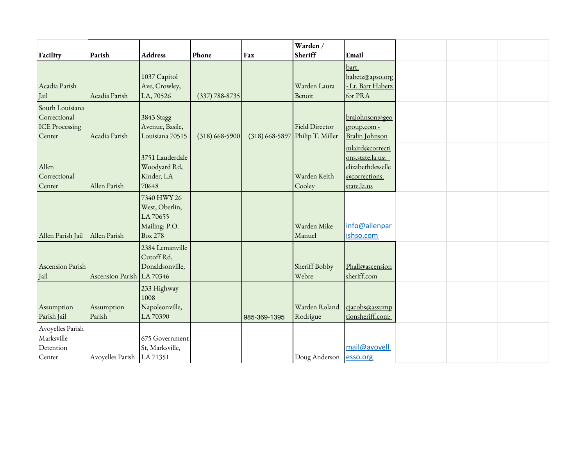|                                                                    |                           |                                                                              |                    |                                 | Warden /                  |                                                                                          |  |  |
|--------------------------------------------------------------------|---------------------------|------------------------------------------------------------------------------|--------------------|---------------------------------|---------------------------|------------------------------------------------------------------------------------------|--|--|
| Facility                                                           | Parish                    | <b>Address</b>                                                               | Phone              | Fax                             | Sheriff                   | Email                                                                                    |  |  |
| Acadia Parish<br>Jail                                              | Acadia Parish             | 1037 Capitol<br>Ave, Crowley,<br>LA, 70526                                   | $(337) 788 - 8735$ |                                 | Warden Laura<br>Benoit    | bart.<br>habetz@apso.org<br>- Lt. Bart Habetz<br>for PRA                                 |  |  |
| South Louisiana<br>Correctional<br><b>ICE Processing</b><br>Center | Acadia Parish             | 3843 Stagg<br>Avenue, Basile,<br>Louisiana 70515                             | $(318)$ 668-5900   | (318) 668-5897 Philip T. Miller | Field Director            | brajohnson@geo<br>group.com -<br>Bralin Johnson                                          |  |  |
| Allen<br>Correctional<br>Center                                    | Allen Parish              | 3751 Lauderdale<br>Woodyard Rd,<br>Kinder, LA<br>70648                       |                    |                                 | Warden Keith<br>Cooley    | mlaird@correcti<br>ons.state.la.us;<br>elizabethdesselle<br>@corrections.<br>state.la.us |  |  |
| Allen Parish Jail                                                  | Allen Parish              | 7340 HWY 26<br>West, Oberlin,<br>LA 70655<br>Mailing: P.O.<br><b>Box 278</b> |                    |                                 | Warden Mike<br>Manuel     | info@allenpar<br>ishso.com                                                               |  |  |
| Ascension Parish<br>Jail                                           | Ascension Parish LA 70346 | 2384 Lemanville<br>Cutoff Rd,<br>Donaldsonville,                             |                    |                                 | Sheriff Bobby<br>Webre    | Phall@ascension<br>sheriff.com                                                           |  |  |
| Assumption<br>Parish Jail                                          | Assumption<br>Parish      | 233 Highway<br>1008<br>Napoleonville,<br>LA 70390                            |                    | 985-369-1395                    | Warden Roland<br>Rodrigue | cjacobs@assump<br>tionsheriff.com;                                                       |  |  |
| Avoyelles Parish<br>Marksville<br>Detention<br>Center              | Avoyelles Parish          | 675 Government<br>St, Marksville,<br>LA 71351                                |                    |                                 | Doug Anderson   esso.org  | mail@avoyell                                                                             |  |  |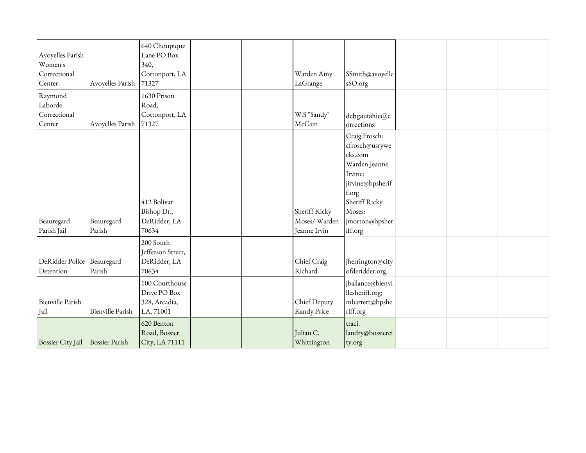| Avoyelles Parish<br>Women's<br>Correctional<br>Center | Avoyelles Parish        | 640 Choupique<br>Lane PO Box<br>340,<br>Cottonport, LA<br>71327 |  | Warden Amy<br>LaGrange                        | SSmith@avoyelle<br>sSO.org                                                                                                                                 |  |  |
|-------------------------------------------------------|-------------------------|-----------------------------------------------------------------|--|-----------------------------------------------|------------------------------------------------------------------------------------------------------------------------------------------------------------|--|--|
| Raymond<br>Laborde<br>Correctional<br>Center          | Avoyelles Parish        | 1630 Prison<br>Road,<br>Cottonport, LA<br>71327                 |  | W.S "Sandy"<br>McCain                         | debgautahie@c<br>orrections                                                                                                                                |  |  |
| Beauregard<br>Parish Jail                             | Beauregard<br>Parish    | 412 Bolivar<br>Bishop Dr.,<br>DeRidder, LA<br>70634             |  | Sheriff Ricky<br>Moses/Warden<br>Jeanne Irvin | Craig Frosch:<br>cfrosch@usrywe<br>eks.com<br>Warden Jeanne<br>Irvine:<br>jirvine@bpsherif<br>f.org<br>Sheriff Ricky<br>Moses:<br>morton@bpsher<br>iff.org |  |  |
| DeRidder Police<br>Detention                          | Beauregard<br>Parish    | 200 South<br>Jefferson Street,<br>DeRidder, LA<br>70634         |  | Chief Craig<br>Richard                        | iherrington@city<br>ofderidder.org                                                                                                                         |  |  |
| <b>Bienville Parish</b><br>Jail                       | <b>Bienville Parish</b> | 100 Courthouse<br>Drive PO Box<br>328, Arcadia,<br>LA, 71001    |  | Chief Deputy<br>Randy Price                   | jballance@bienvi<br>llesheriff.org;<br>mbarrett@bpshe<br>riff.org                                                                                          |  |  |
| Bossier City Jail Bossier Parish                      |                         | 620 Benton<br>Road, Bossier<br>City, LA 71111                   |  | Julian C.<br>Whittington                      | traci.<br>landry@bossierci<br>ty.org                                                                                                                       |  |  |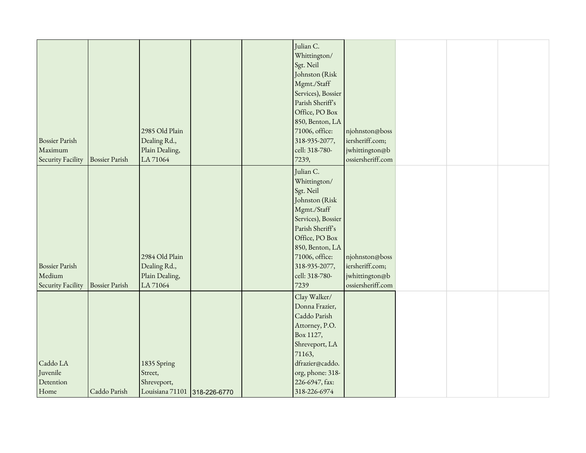|                       |                       |                              |  | Julian C.          |                   |  |  |
|-----------------------|-----------------------|------------------------------|--|--------------------|-------------------|--|--|
|                       |                       |                              |  | Whittington/       |                   |  |  |
|                       |                       |                              |  | Sgt. Neil          |                   |  |  |
|                       |                       |                              |  | Johnston (Risk     |                   |  |  |
|                       |                       |                              |  | Mgmt./Staff        |                   |  |  |
|                       |                       |                              |  | Services), Bossier |                   |  |  |
|                       |                       |                              |  | Parish Sheriff's   |                   |  |  |
|                       |                       |                              |  | Office, PO Box     |                   |  |  |
|                       |                       |                              |  | 850, Benton, LA    |                   |  |  |
|                       |                       | 2985 Old Plain               |  | 71006, office:     | njohnston@boss    |  |  |
| <b>Bossier Parish</b> |                       | Dealing Rd.,                 |  | 318-935-2077,      | iersheriff.com;   |  |  |
| Maximum               |                       | Plain Dealing,               |  | cell: 318-780-     | jwhittington@b    |  |  |
| Security Facility     | <b>Bossier Parish</b> | LA 71064                     |  |                    | ossiersheriff.com |  |  |
|                       |                       |                              |  | 7239,              |                   |  |  |
|                       |                       |                              |  | Julian C.          |                   |  |  |
|                       |                       |                              |  | Whittington/       |                   |  |  |
|                       |                       |                              |  | Sgt. Neil          |                   |  |  |
|                       |                       |                              |  | Johnston (Risk     |                   |  |  |
|                       |                       |                              |  | Mgmt./Staff        |                   |  |  |
|                       |                       |                              |  | Services), Bossier |                   |  |  |
|                       |                       |                              |  | Parish Sheriff's   |                   |  |  |
|                       |                       |                              |  | Office, PO Box     |                   |  |  |
|                       |                       |                              |  | 850, Benton, LA    |                   |  |  |
|                       |                       | 2984 Old Plain               |  | 71006, office:     | njohnston@boss    |  |  |
| <b>Bossier Parish</b> |                       | Dealing Rd.,                 |  | 318-935-2077,      | iersheriff.com;   |  |  |
| Medium                |                       | Plain Dealing,               |  | cell: 318-780-     | jwhittington@b    |  |  |
| Security Facility     | <b>Bossier Parish</b> | LA 71064                     |  | 7239               | ossiersheriff.com |  |  |
|                       |                       |                              |  |                    |                   |  |  |
|                       |                       |                              |  | Clay Walker/       |                   |  |  |
|                       |                       |                              |  | Donna Frazier,     |                   |  |  |
|                       |                       |                              |  | Caddo Parish       |                   |  |  |
|                       |                       |                              |  | Attorney, P.O.     |                   |  |  |
|                       |                       |                              |  | Box 1127,          |                   |  |  |
|                       |                       |                              |  | Shreveport, LA     |                   |  |  |
|                       |                       |                              |  | 71163,             |                   |  |  |
| Caddo LA              |                       | 1835 Spring                  |  | dfrazier@caddo.    |                   |  |  |
| Juvenile              |                       | Street,                      |  | org, phone: 318-   |                   |  |  |
| Detention             |                       | Shreveport,                  |  | 226-6947, fax:     |                   |  |  |
|                       |                       |                              |  |                    |                   |  |  |
| Home                  | Caddo Parish          | Louisiana 71101 318-226-6770 |  | 318-226-6974       |                   |  |  |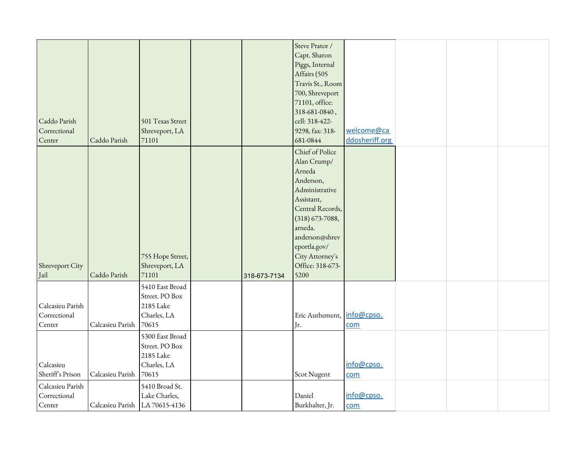| Steve Prator /<br>Capt. Sharon<br>Piggs, Internal<br>Affairs (505<br>Travis St., Room<br>700, Shreveport<br>71101, office:<br>318-681-0840,<br>cell: 318-422-<br>Caddo Parish<br>501 Texas Street<br>welcome@ca<br>Correctional<br>Shreveport, LA<br>9298, fax: 318-<br>Center<br>681-0844<br>ddosheriff.org<br>Caddo Parish<br>71101<br>Chief of Police<br>Alan Crump/<br>Arneda<br>Anderson,<br>Administrative<br>Assistant,<br>Central Records,<br>$(318) 673 - 7088,$<br>arneda.<br>anderson@shrev<br>eportla.gov/<br>City Attorney's<br>755 Hope Street,<br>Office: 318-673-<br>Shreveport, LA<br>Shreveport City<br>71101<br>Jail<br>Caddo Parish<br>5200<br>318-673-7134 |  |  |  |  |  |
|---------------------------------------------------------------------------------------------------------------------------------------------------------------------------------------------------------------------------------------------------------------------------------------------------------------------------------------------------------------------------------------------------------------------------------------------------------------------------------------------------------------------------------------------------------------------------------------------------------------------------------------------------------------------------------|--|--|--|--|--|
|                                                                                                                                                                                                                                                                                                                                                                                                                                                                                                                                                                                                                                                                                 |  |  |  |  |  |
|                                                                                                                                                                                                                                                                                                                                                                                                                                                                                                                                                                                                                                                                                 |  |  |  |  |  |
|                                                                                                                                                                                                                                                                                                                                                                                                                                                                                                                                                                                                                                                                                 |  |  |  |  |  |
|                                                                                                                                                                                                                                                                                                                                                                                                                                                                                                                                                                                                                                                                                 |  |  |  |  |  |
|                                                                                                                                                                                                                                                                                                                                                                                                                                                                                                                                                                                                                                                                                 |  |  |  |  |  |
|                                                                                                                                                                                                                                                                                                                                                                                                                                                                                                                                                                                                                                                                                 |  |  |  |  |  |
|                                                                                                                                                                                                                                                                                                                                                                                                                                                                                                                                                                                                                                                                                 |  |  |  |  |  |
|                                                                                                                                                                                                                                                                                                                                                                                                                                                                                                                                                                                                                                                                                 |  |  |  |  |  |
|                                                                                                                                                                                                                                                                                                                                                                                                                                                                                                                                                                                                                                                                                 |  |  |  |  |  |
|                                                                                                                                                                                                                                                                                                                                                                                                                                                                                                                                                                                                                                                                                 |  |  |  |  |  |
|                                                                                                                                                                                                                                                                                                                                                                                                                                                                                                                                                                                                                                                                                 |  |  |  |  |  |
|                                                                                                                                                                                                                                                                                                                                                                                                                                                                                                                                                                                                                                                                                 |  |  |  |  |  |
|                                                                                                                                                                                                                                                                                                                                                                                                                                                                                                                                                                                                                                                                                 |  |  |  |  |  |
|                                                                                                                                                                                                                                                                                                                                                                                                                                                                                                                                                                                                                                                                                 |  |  |  |  |  |
|                                                                                                                                                                                                                                                                                                                                                                                                                                                                                                                                                                                                                                                                                 |  |  |  |  |  |
|                                                                                                                                                                                                                                                                                                                                                                                                                                                                                                                                                                                                                                                                                 |  |  |  |  |  |
|                                                                                                                                                                                                                                                                                                                                                                                                                                                                                                                                                                                                                                                                                 |  |  |  |  |  |
|                                                                                                                                                                                                                                                                                                                                                                                                                                                                                                                                                                                                                                                                                 |  |  |  |  |  |
|                                                                                                                                                                                                                                                                                                                                                                                                                                                                                                                                                                                                                                                                                 |  |  |  |  |  |
|                                                                                                                                                                                                                                                                                                                                                                                                                                                                                                                                                                                                                                                                                 |  |  |  |  |  |
|                                                                                                                                                                                                                                                                                                                                                                                                                                                                                                                                                                                                                                                                                 |  |  |  |  |  |
|                                                                                                                                                                                                                                                                                                                                                                                                                                                                                                                                                                                                                                                                                 |  |  |  |  |  |
|                                                                                                                                                                                                                                                                                                                                                                                                                                                                                                                                                                                                                                                                                 |  |  |  |  |  |
|                                                                                                                                                                                                                                                                                                                                                                                                                                                                                                                                                                                                                                                                                 |  |  |  |  |  |
|                                                                                                                                                                                                                                                                                                                                                                                                                                                                                                                                                                                                                                                                                 |  |  |  |  |  |
|                                                                                                                                                                                                                                                                                                                                                                                                                                                                                                                                                                                                                                                                                 |  |  |  |  |  |
| 5410 East Broad                                                                                                                                                                                                                                                                                                                                                                                                                                                                                                                                                                                                                                                                 |  |  |  |  |  |
| Street. PO Box                                                                                                                                                                                                                                                                                                                                                                                                                                                                                                                                                                                                                                                                  |  |  |  |  |  |
| Calcasieu Parish<br>2185 Lake                                                                                                                                                                                                                                                                                                                                                                                                                                                                                                                                                                                                                                                   |  |  |  |  |  |
| Correctional<br>info@cpso.<br>Charles, LA<br>Eric Authement,                                                                                                                                                                                                                                                                                                                                                                                                                                                                                                                                                                                                                    |  |  |  |  |  |
| Center<br>70615<br>Calcasieu Parish<br>Jr.<br>com                                                                                                                                                                                                                                                                                                                                                                                                                                                                                                                                                                                                                               |  |  |  |  |  |
| 5300 East Broad                                                                                                                                                                                                                                                                                                                                                                                                                                                                                                                                                                                                                                                                 |  |  |  |  |  |
| Street. PO Box                                                                                                                                                                                                                                                                                                                                                                                                                                                                                                                                                                                                                                                                  |  |  |  |  |  |
| 2185 Lake                                                                                                                                                                                                                                                                                                                                                                                                                                                                                                                                                                                                                                                                       |  |  |  |  |  |
| Charles, LA<br>info@cpso.<br>Calcasieu                                                                                                                                                                                                                                                                                                                                                                                                                                                                                                                                                                                                                                          |  |  |  |  |  |
| Sheriff's Prison<br>70615<br>Calcasieu Parish<br>Scot Nugent<br>com                                                                                                                                                                                                                                                                                                                                                                                                                                                                                                                                                                                                             |  |  |  |  |  |
| Calcasieu Parish<br>5410 Broad St.                                                                                                                                                                                                                                                                                                                                                                                                                                                                                                                                                                                                                                              |  |  |  |  |  |
| Correctional<br>info@cpso.<br>Lake Charles,<br>Daniel                                                                                                                                                                                                                                                                                                                                                                                                                                                                                                                                                                                                                           |  |  |  |  |  |
| Center<br>Burkhalter, Jr.<br>Calcasieu Parish   LA 70615-4136<br>com                                                                                                                                                                                                                                                                                                                                                                                                                                                                                                                                                                                                            |  |  |  |  |  |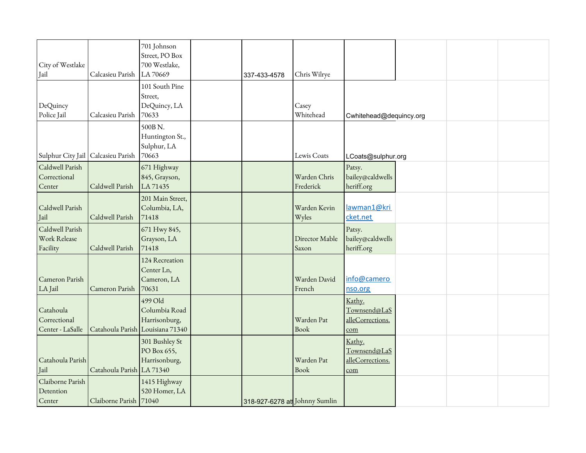| City of Westlake<br>Jail                      | Calcasieu Parish          | 701 Johnson<br>Street, PO Box<br>700 Westlake,<br>LA 70669                    | 337-433-4578                  | Chris Wilrye              |                                                   |  |  |
|-----------------------------------------------|---------------------------|-------------------------------------------------------------------------------|-------------------------------|---------------------------|---------------------------------------------------|--|--|
| DeQuincy<br>Police Jail                       | Calcasieu Parish          | 101 South Pine<br>Street,<br>DeQuincy, LA<br>70633                            |                               | Casey<br>Whitehead        | Cwhitehead@dequincy.org                           |  |  |
| Sulphur City Jail   Calcasieu Parish          |                           | 500B N.<br>Huntington St.,<br>Sulphur, LA<br>70663                            |                               | Lewis Coats               | LCoats@sulphur.org                                |  |  |
| Caldwell Parish<br>Correctional<br>Center     | Caldwell Parish           | 671 Highway<br>845, Grayson,<br>LA 71435                                      |                               | Warden Chris<br>Frederick | Patsy.<br>bailey@caldwells<br>heriff.org          |  |  |
| Caldwell Parish<br>Jail                       | Caldwell Parish           | 201 Main Street,<br>Columbia, LA,<br>71418                                    |                               | Warden Kevin<br>Wyles     | lawman1@kri<br>cket.net                           |  |  |
| Caldwell Parish<br>Work Release<br>Facility   | Caldwell Parish           | 671 Hwy 845,<br>Grayson, LA<br>71418                                          |                               | Director Mable<br>Saxon   | Patsy.<br>bailey@caldwells<br>heriff.org          |  |  |
| Cameron Parish<br>LA Jail                     | Cameron Parish            | 124 Recreation<br>Center Ln,<br>Cameron, LA<br>70631                          |                               | Warden David<br>French    | info@camero<br>nso.org                            |  |  |
| Catahoula<br>Correctional<br>Center - LaSalle |                           | 499 Old<br>Columbia Road<br>Harrisonburg,<br>Catahoula Parish Louisiana 71340 |                               | Warden Pat<br><b>Book</b> | Kathy.<br>Townsend@LaS<br>alleCorrections.<br>com |  |  |
| Catahoula Parish<br>Jail                      | Catahoula Parish LA 71340 | 301 Bushley St<br>PO Box 655,<br>Harrisonburg,                                |                               | Warden Pat<br>Book        | Kathy.<br>Townsend@LaS<br>alleCorrections.<br>com |  |  |
| Claiborne Parish<br>Detention<br>Center       | Claiborne Parish 71040    | 1415 Highway<br>520 Homer, LA                                                 | 318-927-6278 at Johnny Sumlin |                           |                                                   |  |  |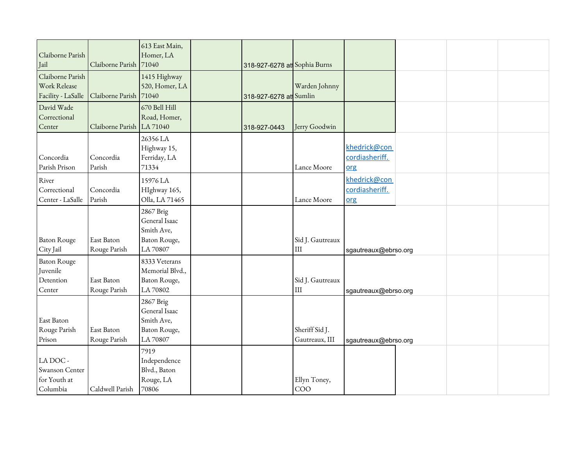| Claiborne Parish<br>Jail                               | Claiborne Parish           | 613 East Main,<br>Homer, LA<br>71040                                 | 318-927-6278 at Sophia Burns |                                  |                                       |  |  |
|--------------------------------------------------------|----------------------------|----------------------------------------------------------------------|------------------------------|----------------------------------|---------------------------------------|--|--|
| Claiborne Parish<br>Work Release<br>Facility - LaSalle | Claiborne Parish           | 1415 Highway<br>520, Homer, LA<br>71040                              | 318-927-6278 at Sumlin       | Warden Johnny                    |                                       |  |  |
| David Wade<br>Correctional<br>Center                   | Claiborne Parish LA 71040  | 670 Bell Hill<br>Road, Homer,                                        | 318-927-0443                 | Jerry Goodwin                    |                                       |  |  |
| Concordia<br>Parish Prison                             | Concordia<br>Parish        | 26356 LA<br>Highway 15,<br>Ferriday, LA<br>71334                     |                              | Lance Moore                      | khedrick@con<br>cordiasheriff.<br>org |  |  |
| River<br>Correctional<br>Center - LaSalle              | Concordia<br>Parish        | 15976 LA<br>HIghway 165,<br>Olla, LA 71465                           |                              | Lance Moore                      | khedrick@con<br>cordiasheriff.<br>org |  |  |
| <b>Baton Rouge</b><br>City Jail                        | East Baton<br>Rouge Parish | 2867 Brig<br>General Isaac<br>Smith Ave,<br>Baton Rouge,<br>LA 70807 |                              | Sid J. Gautreaux<br>$\rm III$    | sgautreaux@ebrso.org                  |  |  |
| <b>Baton Rouge</b><br>Juvenile<br>Detention<br>Center  | East Baton<br>Rouge Parish | 8333 Veterans<br>Memorial Blvd.,<br>Baton Rouge,<br>LA 70802         |                              | Sid J. Gautreaux<br>III          | sgautreaux@ebrso.org                  |  |  |
| East Baton<br>Rouge Parish<br>Prison                   | East Baton<br>Rouge Parish | 2867 Brig<br>General Isaac<br>Smith Ave,<br>Baton Rouge,<br>LA 70807 |                              | Sheriff Sid J.<br>Gautreaux, III | sgautreaux@ebrso.org                  |  |  |
| LA DOC -<br>Swanson Center<br>for Youth at<br>Columbia | Caldwell Parish            | 7919<br>Independence<br>Blvd., Baton<br>Rouge, LA<br>70806           |                              | Ellyn Toney,<br>COO              |                                       |  |  |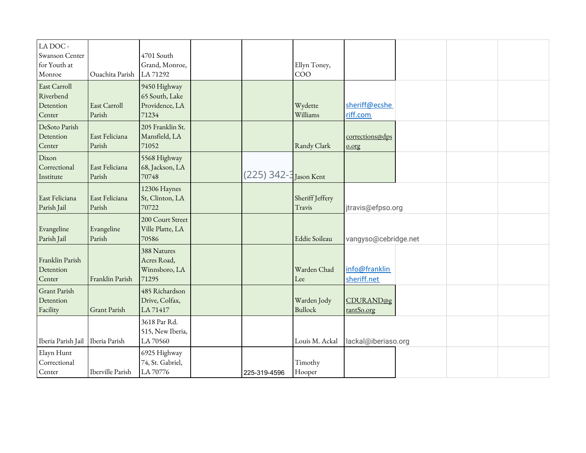| LA DOC -<br>Swanson Center<br>for Youth at<br>Monroe | Ouachita Parish          | 4701 South<br>Grand, Monroe,<br>LA 71292                  |                        | Ellyn Toney,<br>COO           |                                |  |  |
|------------------------------------------------------|--------------------------|-----------------------------------------------------------|------------------------|-------------------------------|--------------------------------|--|--|
| East Carroll<br>Riverbend<br>Detention<br>Center     | East Carroll<br>Parish   | 9450 Highway<br>65 South, Lake<br>Providence, LA<br>71234 |                        | Wydette<br>Williams           | sheriff@ecshe<br>riff.com      |  |  |
| DeSoto Parish<br>Detention<br>Center                 | East Feliciana<br>Parish | 205 Franklin St.<br>Mansfield, LA<br>71052                |                        | Randy Clark                   | corrections@dps<br>$0.0$ rg    |  |  |
| Dixon<br>Correctional<br>Institute                   | East Feliciana<br>Parish | 5568 Highway<br>68, Jackson, LA<br>70748                  | (225) 342-3 Jason Kent |                               |                                |  |  |
| East Feliciana<br>Parish Jail                        | East Feliciana<br>Parish | 12306 Haynes<br>St, Clinton, LA<br>70722                  |                        | Sheriff Jeffery<br>Travis     | itravis@efpso.org              |  |  |
| Evangeline<br>Parish Jail                            | Evangeline<br>Parish     | 200 Court Street<br>Ville Platte, LA<br>70586             |                        | Eddie Soileau                 | vangyso@cebridge.net           |  |  |
| Franklin Parish<br>Detention<br>Center               | Franklin Parish          | 388 Natures<br>Acres Road,<br>Winnsboro, LA<br>71295      |                        | Warden Chad<br>Lee            | info@franklin<br>sheriff.net   |  |  |
| Grant Parish<br>Detention<br>Facility                | <b>Grant Parish</b>      | 485 Richardson<br>Drive, Colfax,<br>LA 71417              |                        | Warden Jody<br><b>Bullock</b> | <b>CDURAND@g</b><br>rantSo.org |  |  |
| Iberia Parish Jail                                   | Iberia Parish            | 3618 Par Rd.<br>515, New Iberia,<br>LA 70560              |                        | Louis M. Ackal                | lackal@iberiaso.org            |  |  |
| Elayn Hunt<br>Correctional<br>Center                 | Iberville Parish         | 6925 Highway<br>74, St. Gabriel,<br>LA 70776              | 225-319-4596           | Timothy<br>Hooper             |                                |  |  |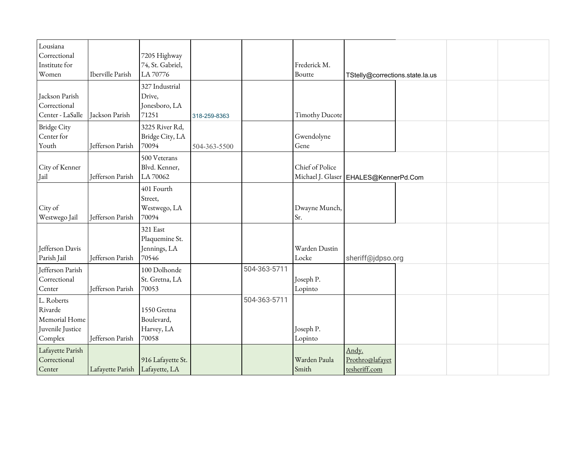| Lousiana           |                  |                   |              |              |                       |                                         |  |  |
|--------------------|------------------|-------------------|--------------|--------------|-----------------------|-----------------------------------------|--|--|
| Correctional       |                  | 7205 Highway      |              |              |                       |                                         |  |  |
| Institute for      |                  | 74, St. Gabriel,  |              |              | Frederick M.          |                                         |  |  |
| Women              | Iberville Parish | LA 70776          |              |              | Boutte                | TStelly@corrections.state.la.us         |  |  |
|                    |                  | 327 Industrial    |              |              |                       |                                         |  |  |
| Jackson Parish     |                  | Drive,            |              |              |                       |                                         |  |  |
| Correctional       |                  | Jonesboro, LA     |              |              |                       |                                         |  |  |
| Center - LaSalle   | Jackson Parish   | 71251             | 318-259-8363 |              | <b>Timothy Ducote</b> |                                         |  |  |
| <b>Bridge City</b> |                  | 3225 River Rd,    |              |              |                       |                                         |  |  |
| Center for         |                  | Bridge City, LA   |              |              | Gwendolyne            |                                         |  |  |
| Youth              | Jefferson Parish | 70094             | 504-363-5500 |              | Gene                  |                                         |  |  |
|                    |                  | 500 Veterans      |              |              |                       |                                         |  |  |
| City of Kenner     |                  | Blvd. Kenner,     |              |              | Chief of Police       |                                         |  |  |
| Jail               | Jefferson Parish | LA 70062          |              |              |                       | Michael J. Glaser   EHALES@KennerPd.Com |  |  |
|                    |                  | 401 Fourth        |              |              |                       |                                         |  |  |
|                    |                  | Street,           |              |              |                       |                                         |  |  |
| City of            |                  | Westwego, LA      |              |              | Dwayne Munch,         |                                         |  |  |
| Westwego Jail      | Jefferson Parish | 70094             |              |              | Sr.                   |                                         |  |  |
|                    |                  | 321 East          |              |              |                       |                                         |  |  |
|                    |                  | Plaquemine St.    |              |              |                       |                                         |  |  |
| Jefferson Davis    |                  | Jennings, LA      |              |              | Warden Dustin         |                                         |  |  |
| Parish Jail        | Jefferson Parish | 70546             |              |              | Locke                 | sheriff@jdpso.org                       |  |  |
| Jefferson Parish   |                  | 100 Dolhonde      |              | 504-363-5711 |                       |                                         |  |  |
| Correctional       |                  | St. Gretna, LA    |              |              | Joseph P.             |                                         |  |  |
| Center             | Jefferson Parish | 70053             |              |              | Lopinto               |                                         |  |  |
| L. Roberts         |                  |                   |              | 504-363-5711 |                       |                                         |  |  |
| Rivarde            |                  | 1550 Gretna       |              |              |                       |                                         |  |  |
| Memorial Home      |                  | Boulevard,        |              |              |                       |                                         |  |  |
| Juvenile Justice   |                  | Harvey, LA        |              |              | Joseph P.             |                                         |  |  |
| Complex            | Jefferson Parish | 70058             |              |              | Lopinto               |                                         |  |  |
| Lafayette Parish   |                  |                   |              |              |                       | Andy.                                   |  |  |
| Correctional       |                  | 916 Lafayette St. |              |              | Warden Paula          | Prothro@lafayet                         |  |  |
| Center             | Lafayette Parish | Lafayette, LA     |              |              | Smith                 | tesheriff.com                           |  |  |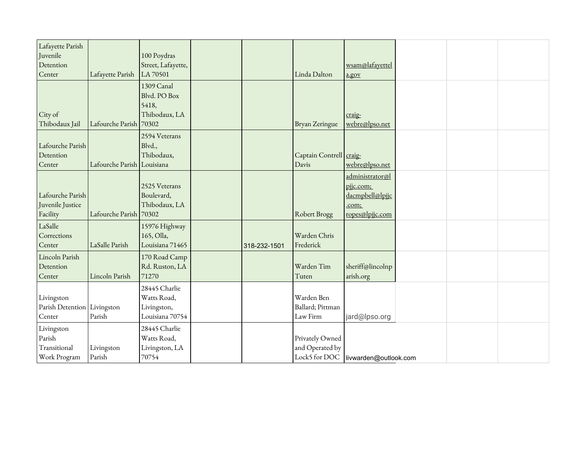| Lafayette Parish<br>Juvenile<br>Detention<br>Center  | Lafayette Parish           | 100 Poydras<br>Street, Lafayette,<br>LA 70501                  |              | Linda Dalton                               | wsam@lafayettel<br>a.gov                                                    |  |  |
|------------------------------------------------------|----------------------------|----------------------------------------------------------------|--------------|--------------------------------------------|-----------------------------------------------------------------------------|--|--|
| City of<br>Thibodaux Jail                            | Lafourche Parish           | 1309 Canal<br>Blvd. PO Box<br>5418,<br>Thibodaux, LA<br>70302  |              | <b>Bryan Zeringue</b>                      | craig-<br>webre@lpso.net                                                    |  |  |
| Lafourche Parish<br>Detention<br>Center              | Lafourche Parish Louisiana | 2594 Veterans<br>Blvd.,<br>Thibodaux,                          |              | Captain Contrell craig-<br>Davis           | webre@lpso.net                                                              |  |  |
| Lafourche Parish<br>Juvenile Justice<br>Facility     | Lafourche Parish           | 2525 Veterans<br>Boulevard,<br>Thibodaux, LA<br>70302          |              | Robert Brogg                               | administrator@l<br>pjjc.com;<br>dacmpbell@lpjjc<br>.com;<br>ropes@lpjjc.com |  |  |
| LaSalle<br>Corrections<br>Center                     | LaSalle Parish             | 15976 Highway<br>165, Olla,<br>Louisiana 71465                 | 318-232-1501 | Warden Chris<br>Frederick                  |                                                                             |  |  |
| Lincoln Parish<br>Detention<br>Center                | Lincoln Parish             | 170 Road Camp<br>Rd. Ruston, LA<br>71270                       |              | Warden Tim<br>Tuten                        | sheriff@lincolnp<br>arish.org                                               |  |  |
| Livingston<br>Parish Detention Livingston<br>Center  | Parish                     | 28445 Charlie<br>Watts Road,<br>Livingston,<br>Louisiana 70754 |              | Warden Ben<br>Ballard; Pittman<br>Law Firm | jard@lpso.org                                                               |  |  |
| Livingston<br>Parish<br>Transitional<br>Work Program | Livingston<br>Parish       | 28445 Charlie<br>Watts Road,<br>Livingston, LA<br>70754        |              | Privately Owned<br>and Operated by         | Lock5 for DOC   livwarden@outlook.com                                       |  |  |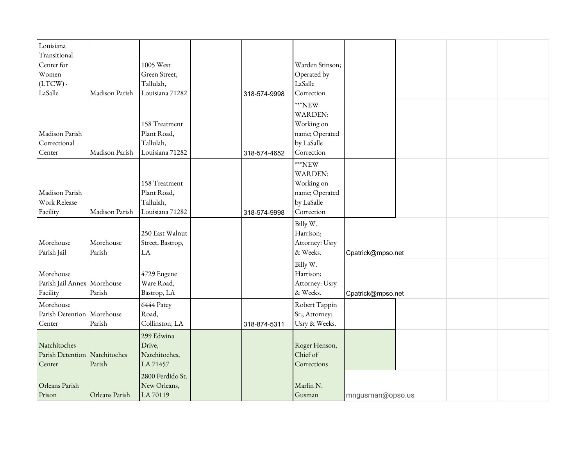| Louisiana                     |                |                  |              |                 |                   |  |  |
|-------------------------------|----------------|------------------|--------------|-----------------|-------------------|--|--|
| Transitional                  |                |                  |              |                 |                   |  |  |
| Center for                    |                | 1005 West        |              | Warden Stinson; |                   |  |  |
| Women                         |                | Green Street,    |              | Operated by     |                   |  |  |
| $(LTCW)$ -                    |                | Tallulah,        |              | LaSalle         |                   |  |  |
| LaSalle                       | Madison Parish | Louisiana 71282  | 318-574-9998 | Correction      |                   |  |  |
|                               |                |                  |              | ***NEW          |                   |  |  |
|                               |                |                  |              | <b>WARDEN:</b>  |                   |  |  |
|                               |                | 158 Treatment    |              | Working on      |                   |  |  |
| Madison Parish                |                | Plant Road,      |              | name; Operated  |                   |  |  |
| Correctional                  |                | Tallulah,        |              | by LaSalle      |                   |  |  |
| Center                        | Madison Parish | Louisiana 71282  | 318-574-4652 | Correction      |                   |  |  |
|                               |                |                  |              | ***NEW          |                   |  |  |
|                               |                |                  |              | <b>WARDEN:</b>  |                   |  |  |
|                               |                | 158 Treatment    |              | Working on      |                   |  |  |
| Madison Parish                |                | Plant Road,      |              | name; Operated  |                   |  |  |
| Work Release                  |                | Tallulah,        |              | by LaSalle      |                   |  |  |
| Facility                      | Madison Parish | Louisiana 71282  | 318-574-9998 | Correction      |                   |  |  |
|                               |                |                  |              | Billy W.        |                   |  |  |
|                               |                | 250 East Walnut  |              | Harrison;       |                   |  |  |
| Morehouse                     | Morehouse      | Street, Bastrop, |              | Attorney: Usry  |                   |  |  |
| Parish Jail                   | Parish         | LA               |              | & Weeks.        | Cpatrick@mpso.net |  |  |
|                               |                |                  |              | Billy W.        |                   |  |  |
| Morehouse                     |                | 4729 Eugene      |              | Harrison;       |                   |  |  |
| Parish Jail Annex Morehouse   |                | Ware Road,       |              | Attorney: Usry  |                   |  |  |
| Facility                      | Parish         | Bastrop, LA      |              | & Weeks.        | Cpatrick@mpso.net |  |  |
| Morehouse                     |                | 6444 Patey       |              | Robert Tappin   |                   |  |  |
| Parish Detention   Morehouse  |                | Road,            |              | Sr.; Attorney:  |                   |  |  |
| Center                        | Parish         | Collinston, LA   | 318-874-5311 | Usry & Weeks.   |                   |  |  |
|                               |                | 299 Edwina       |              |                 |                   |  |  |
| Natchitoches                  |                | Drive,           |              | Roger Henson,   |                   |  |  |
| Parish Detention Natchitoches |                | Natchitoches,    |              | Chief of        |                   |  |  |
| Center                        | Parish         | LA 71457         |              | Corrections     |                   |  |  |
|                               |                | 2800 Perdido St. |              |                 |                   |  |  |
| Orleans Parish                |                | New Orleans,     |              | Marlin N.       |                   |  |  |
| Prison                        | Orleans Parish | LA 70119         |              | Gusman          | mngusman@opso.us  |  |  |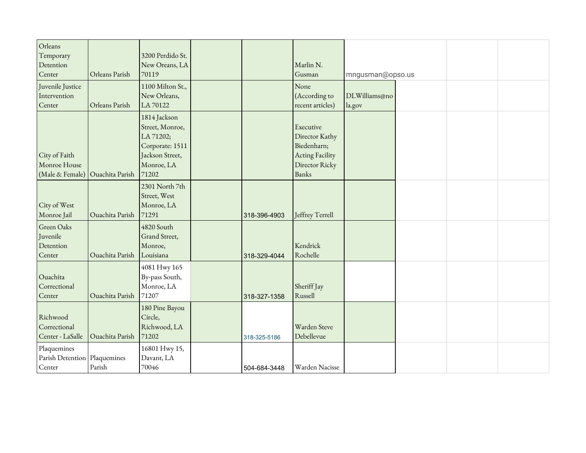| Orleans<br>Temporary<br>Detention<br>Center | Orleans Parish  | 3200 Perdido St.<br>New Oreans, LA<br>70119 |              | Marlin N.<br>Gusman        |                  |  |  |
|---------------------------------------------|-----------------|---------------------------------------------|--------------|----------------------------|------------------|--|--|
| Juvenile Justice                            |                 | 1100 Milton St.,                            |              | None                       | mngusman@opso.us |  |  |
| Intervention                                |                 | New Orleans,                                |              | (According to              | DLWilliams@no    |  |  |
| Center                                      | Orleans Parish  | LA 70122                                    |              | recent articles)           | la.gov           |  |  |
|                                             |                 | 1814 Jackson                                |              |                            |                  |  |  |
|                                             |                 | Street, Monroe,                             |              | Executive                  |                  |  |  |
|                                             |                 | LA 71202;                                   |              | Director Kathy             |                  |  |  |
|                                             |                 | Corporate: 1511                             |              | Biedenharn;                |                  |  |  |
| City of Faith<br>Monroe House               |                 | Jackson Street,<br>Monroe, LA               |              | Acting Facility            |                  |  |  |
| (Male & Female)                             | Ouachita Parish | 71202                                       |              | Director Ricky<br>Banks    |                  |  |  |
|                                             |                 | 2301 North 7th                              |              |                            |                  |  |  |
|                                             |                 | Street, West                                |              |                            |                  |  |  |
| City of West                                |                 | Monroe, LA                                  |              |                            |                  |  |  |
| Monroe Jail                                 | Ouachita Parish | 71291                                       | 318-396-4903 | Jeffrey Terrell            |                  |  |  |
| Green Oaks                                  |                 | 4820 South                                  |              |                            |                  |  |  |
| Juvenile                                    |                 | Grand Street,                               |              |                            |                  |  |  |
| Detention                                   |                 | Monroe,                                     |              | Kendrick                   |                  |  |  |
| Center                                      | Ouachita Parish | Louisiana                                   | 318-329-4044 | Rochelle                   |                  |  |  |
|                                             |                 | 4081 Hwy 165                                |              |                            |                  |  |  |
| Ouachita                                    |                 | By-pass South,                              |              |                            |                  |  |  |
| Correctional                                |                 | Monroe, LA                                  |              | Sheriff Jay                |                  |  |  |
| Center                                      | Ouachita Parish | 71207                                       | 318-327-1358 | Russell                    |                  |  |  |
|                                             |                 | 180 Pine Bayou                              |              |                            |                  |  |  |
| Richwood                                    |                 | Circle,                                     |              |                            |                  |  |  |
| Correctional                                |                 | Richwood, LA<br>71202                       |              | Warden Steve<br>Debellevue |                  |  |  |
| Center - LaSalle                            | Ouachita Parish |                                             | 318-325-5186 |                            |                  |  |  |
| Plaquemines                                 |                 | 16801 Hwy 15,                               |              |                            |                  |  |  |
| Parish Detention Plaquemines<br>Center      | Parish          | Davant, LA<br>70046                         |              | Warden Nacisse             |                  |  |  |
|                                             |                 |                                             | 504-684-3448 |                            |                  |  |  |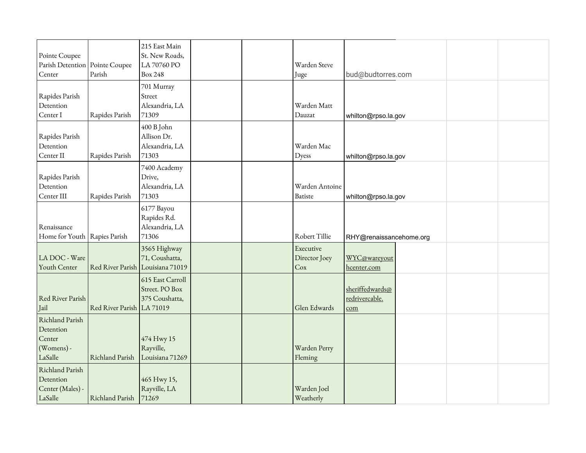| Pointe Coupee<br>Parish Detention   Pointe Coupee<br>Center     | Parish                    | 215 East Main<br>St. New Roads,<br>LA 70760 PO<br><b>Box 248</b>   |  | Warden Steve<br>Juge              | bud@budtorres.com                                            |  |  |
|-----------------------------------------------------------------|---------------------------|--------------------------------------------------------------------|--|-----------------------------------|--------------------------------------------------------------|--|--|
| Rapides Parish<br>Detention<br>Center I                         | Rapides Parish            | 701 Murray<br>Street<br>Alexandria, LA<br>71309                    |  | Warden Matt<br>Dauzat             | whilton@rpso.la.gov                                          |  |  |
| Rapides Parish<br>Detention<br>Center II                        | Rapides Parish            | 400 B John<br>Allison Dr.<br>Alexandria, LA<br>71303               |  | Warden Mac<br>Dyess               | whilton@rpso.la.gov                                          |  |  |
| Rapides Parish<br>Detention<br>Center III                       | Rapides Parish            | 7400 Academy<br>Drive,<br>Alexandria, LA<br>71303                  |  | Warden Antoine<br>Batiste         | whilton@rpso.la.gov                                          |  |  |
| Renaissance<br>Home for Youth Rapies Parish                     |                           | 6177 Bayou<br>Rapides Rd.<br>Alexandria, LA<br>71306               |  | Robert Tillie                     | RHY@renaissancehome.org                                      |  |  |
| LA DOC - Ware<br>Youth Center                                   |                           | 3565 Highway<br>71, Coushatta,<br>Red River Parish Louisiana 71019 |  | Executive<br>Director Joey<br>Cox | WYC@wareyout<br>hcenter.com                                  |  |  |
| Red River Parish<br>Jail                                        | Red River Parish LA 71019 | 615 East Carroll<br>Street. PO Box<br>375 Coushatta,               |  | Glen Edwards                      | sheriffedwards@<br>redrivercable.<br>$\overline{\text{com}}$ |  |  |
| Richland Parish<br>Detention<br>Center<br>(Womens) -<br>LaSalle | Richland Parish           | 474 Hwy 15<br>Rayville,<br>Louisiana 71269                         |  | Warden Perry<br>Fleming           |                                                              |  |  |
| Richland Parish<br>Detention<br>Center (Males) -<br>LaSalle     | Richland Parish 71269     | 465 Hwy 15,<br>Rayville, LA                                        |  | Warden Joel<br>Weatherly          |                                                              |  |  |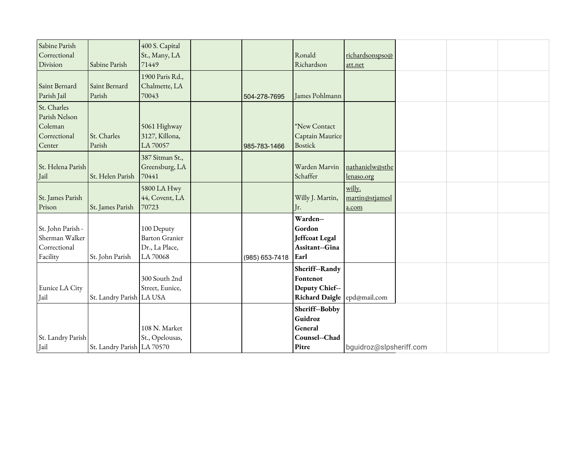| Sabine Parish     |                            | 400 S. Capital        |                |                             |                         |  |  |
|-------------------|----------------------------|-----------------------|----------------|-----------------------------|-------------------------|--|--|
| Correctional      |                            | St., Many, LA         |                | Ronald                      | richardsonspso@         |  |  |
| Division          | Sabine Parish              | 71449                 |                | Richardson                  | att.net                 |  |  |
|                   |                            | 1900 Paris Rd.,       |                |                             |                         |  |  |
| Saint Bernard     | Saint Bernard              | Chalmette, LA         |                |                             |                         |  |  |
| Parish Jail       | Parish                     | 70043                 | 504-278-7695   | James Pohlmann              |                         |  |  |
| St. Charles       |                            |                       |                |                             |                         |  |  |
| Parish Nelson     |                            |                       |                |                             |                         |  |  |
| Coleman           |                            | 5061 Highway          |                | *New Contact                |                         |  |  |
| Correctional      | St. Charles                | 3127, Killona,        |                | Captain Maurice             |                         |  |  |
| Center            | Parish                     | LA 70057              | 985-783-1466   | <b>Bostick</b>              |                         |  |  |
|                   |                            | 387 Sitman St.,       |                |                             |                         |  |  |
| St. Helena Parish |                            | Greensburg, LA        |                | Warden Marvin               | nathanielw@sthe         |  |  |
| Jail              | St. Helen Parish           | 70441                 |                | Schaffer                    | lenaso.org              |  |  |
|                   |                            | 5800 LA Hwy           |                |                             | willy.                  |  |  |
| St. James Parish  |                            | 44, Covent, LA        |                | Willy J. Martin,            | martin@stjamesl         |  |  |
| Prison            | St. James Parish           | 70723                 |                | Jr.                         | a.com                   |  |  |
|                   |                            |                       |                | Warden--                    |                         |  |  |
| St. John Parish - |                            | 100 Deputy            |                | Gordon                      |                         |  |  |
| Sherman Walker    |                            | <b>Barton Granier</b> |                | Jeffcoat Legal              |                         |  |  |
| Correctional      |                            | Dr., La Place,        |                | Assitant--Gina              |                         |  |  |
| Facility          | St. John Parish            | LA 70068              | (985) 653-7418 | Earl                        |                         |  |  |
|                   |                            |                       |                | Sheriff--Randy              |                         |  |  |
|                   |                            | 300 South 2nd         |                | Fontenot                    |                         |  |  |
| Eunice LA City    |                            | Street, Eunice,       |                | Deputy Chief--              |                         |  |  |
| Jail              | St. Landry Parish   LA USA |                       |                | Richard Daigle epd@mail.com |                         |  |  |
|                   |                            |                       |                | Sheriff--Bobby              |                         |  |  |
|                   |                            |                       |                | Guidroz                     |                         |  |  |
|                   |                            | 108 N. Market         |                | General                     |                         |  |  |
| St. Landry Parish |                            | St., Opelousas,       |                | Counsel--Chad               |                         |  |  |
| Iail              | St. Landry Parish LA 70570 |                       |                | Pitre                       | bguidroz@slpsheriff.com |  |  |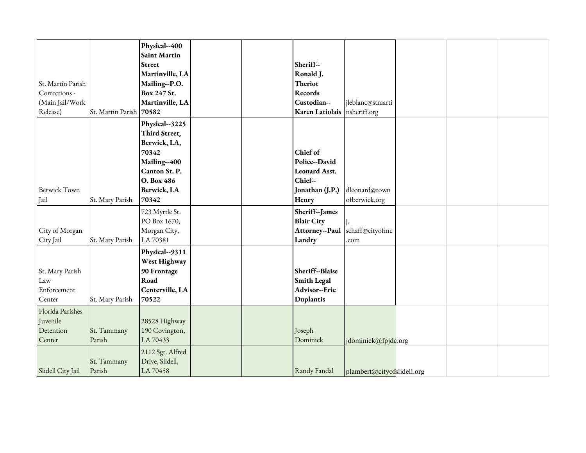|                     |                   | Physical--400       |  |                                |                                    |  |  |
|---------------------|-------------------|---------------------|--|--------------------------------|------------------------------------|--|--|
|                     |                   | <b>Saint Martin</b> |  |                                |                                    |  |  |
|                     |                   | <b>Street</b>       |  | Sheriff--                      |                                    |  |  |
|                     |                   | Martinville, LA     |  | Ronald J.                      |                                    |  |  |
| St. Martin Parish   |                   | Mailing--P.O.       |  | <b>Theriot</b>                 |                                    |  |  |
| Corrections -       |                   | Box 247 St.         |  | Records                        |                                    |  |  |
| (Main Jail/Work     |                   | Martinville, LA     |  | Custodian--                    | jleblanc@stmarti                   |  |  |
| Release)            | St. Martin Parish | 70582               |  | Karen Latiolais   nsheriff.org |                                    |  |  |
|                     |                   | Physical--3225      |  |                                |                                    |  |  |
|                     |                   | Third Street,       |  |                                |                                    |  |  |
|                     |                   | Berwick, LA,        |  |                                |                                    |  |  |
|                     |                   | 70342               |  | Chief of                       |                                    |  |  |
|                     |                   | Mailing--400        |  | Police--David                  |                                    |  |  |
|                     |                   | Canton St. P.       |  | <b>Leonard Asst.</b>           |                                    |  |  |
|                     |                   | O. Box 486          |  | Chief--                        |                                    |  |  |
| <b>Berwick Town</b> |                   | Berwick, LA         |  | Jonathan (J.P.)                | dleonard@town                      |  |  |
| Jail                | St. Mary Parish   | 70342               |  | Henry                          | ofberwick.org                      |  |  |
|                     |                   | 723 Myrtle St.      |  | Sheriff--James                 |                                    |  |  |
|                     |                   | PO Box 1670,        |  | <b>Blair City</b>              |                                    |  |  |
| City of Morgan      |                   | Morgan City,        |  |                                | Attorney--Paul schaff@cityofmc     |  |  |
| City Jail           | St. Mary Parish   | LA 70381            |  | Landry                         | .com                               |  |  |
|                     |                   | Physical--9311      |  |                                |                                    |  |  |
|                     |                   | West Highway        |  |                                |                                    |  |  |
| St. Mary Parish     |                   | 90 Frontage         |  | Sheriff--Blaise                |                                    |  |  |
| Law                 |                   | Road                |  | <b>Smith Legal</b>             |                                    |  |  |
| Enforcement         |                   | Centerville, LA     |  | Advisor--Eric                  |                                    |  |  |
| Center              | St. Mary Parish   | 70522               |  | Duplantis                      |                                    |  |  |
| Florida Parishes    |                   |                     |  |                                |                                    |  |  |
| Juvenile            |                   | 28528 Highway       |  |                                |                                    |  |  |
| Detention           | St. Tammany       | 190 Covington,      |  | Joseph                         |                                    |  |  |
| Center              | Parish            | LA 70433            |  | Dominick                       | jdominick@fpjdc.org                |  |  |
|                     |                   | 2112 Sgt. Alfred    |  |                                |                                    |  |  |
|                     | St. Tammany       | Drive, Slidell,     |  |                                |                                    |  |  |
| Slidell City Jail   | Parish            | LA 70458            |  | Randy Fandal                   | $\vert$ plambert@cityofslidell.org |  |  |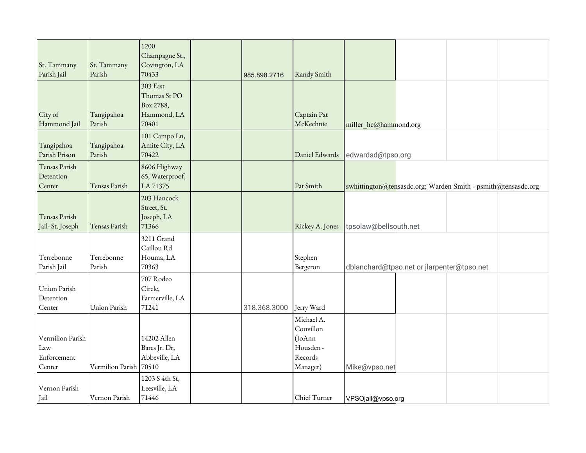| St. Tammany<br>Parish Jail                       | St. Tammany<br>Parish  | 1200<br>Champagne St.,<br>Covington, LA<br>70433              | 985.898.2716 | Randy Smith                                                           |                                            |  |                                                               |  |
|--------------------------------------------------|------------------------|---------------------------------------------------------------|--------------|-----------------------------------------------------------------------|--------------------------------------------|--|---------------------------------------------------------------|--|
| City of<br>Hammond Jail                          | Tangipahoa<br>Parish   | 303 East<br>Thomas St PO<br>Box 2788,<br>Hammond, LA<br>70401 |              | Captain Pat<br>McKechnie                                              | miller hc@hammond.org                      |  |                                                               |  |
| Tangipahoa<br>Parish Prison                      | Tangipahoa<br>Parish   | 101 Campo Ln,<br>Amite City, LA<br>70422                      |              | Daniel Edwards                                                        | edwardsd@tpso.org                          |  |                                                               |  |
| Tensas Parish<br>Detention<br>Center             | Tensas Parish          | 8606 Highway<br>65, Waterproof,<br>LA 71375                   |              | Pat Smith                                                             |                                            |  | swhittington@tensasdc.org; Warden Smith - psmith@tensasdc.org |  |
| Tensas Parish<br>Jail-St. Joseph                 | Tensas Parish          | 203 Hancock<br>Street, St.<br>Joseph, LA<br>71366             |              | Rickey A. Jones                                                       | tpsolaw@bellsouth.net                      |  |                                                               |  |
| Terrebonne<br>Parish Jail                        | Terrebonne<br>Parish   | 3211 Grand<br>Caillou Rd<br>Houma, LA<br>70363                |              | Stephen<br>Bergeron                                                   | dblanchard@tpso.net or jlarpenter@tpso.net |  |                                                               |  |
| <b>Union Parish</b><br>Detention<br>Center       | Union Parish           | 707 Rodeo<br>Circle,<br>Farmerville, LA<br>71241              | 318.368.3000 | Jerry Ward                                                            |                                            |  |                                                               |  |
| Vermilion Parish<br>Law<br>Enforcement<br>Center | Vermilion Parish 70510 | 14202 Allen<br>Bares Jr. Dr,<br>Abbeville, LA                 |              | Michael A.<br>Couvillon<br>(JoAnn<br>Housden -<br>Records<br>Manager) | Mike@vpso.net                              |  |                                                               |  |
| Vernon Parish<br>Jail                            | Vernon Parish          | 1203 S 4th St,<br>Leesville, LA<br>71446                      |              | Chief Turner                                                          | VPSOjail@vpso.org                          |  |                                                               |  |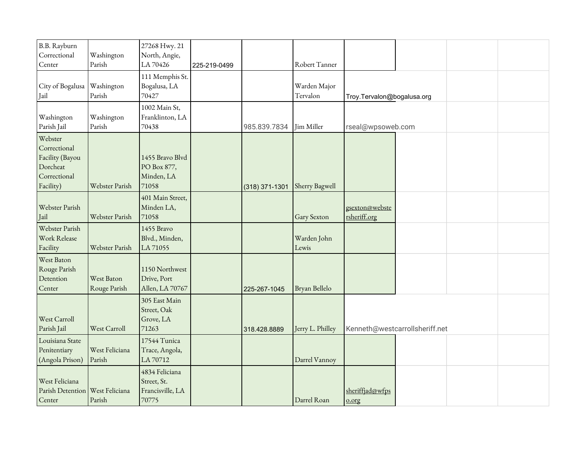| B.B. Rayburn<br>Correctional<br>Center                                              | Washington<br>Parish       | 27268 Hwy. 21<br>North, Angie,<br>LA 70426                 | 225-219-0499 |                  | Robert Tanner            |                                |                                |  |
|-------------------------------------------------------------------------------------|----------------------------|------------------------------------------------------------|--------------|------------------|--------------------------|--------------------------------|--------------------------------|--|
| City of Bogalusa<br>Jail                                                            | Washington<br>Parish       | 111 Memphis St.<br>Bogalusa, LA<br>70427                   |              |                  | Warden Major<br>Tervalon | Troy.Tervalon@bogalusa.org     |                                |  |
| Washington<br>Parish Jail                                                           | Washington<br>Parish       | 1002 Main St,<br>Franklinton, LA<br>70438                  |              | 985.839.7834     | Jim Miller               | rseal@wpsoweb.com              |                                |  |
| Webster<br>Correctional<br>Facility (Bayou<br>Dorcheat<br>Correctional<br>Facility) | Webster Parish             | 1455 Bravo Blvd<br>PO Box 877,<br>Minden, LA<br>71058      |              | $(318)$ 371-1301 | Sherry Bagwell           |                                |                                |  |
| Webster Parish<br>Jail                                                              | Webster Parish             | 401 Main Street,<br>Minden LA,<br>71058                    |              |                  | Gary Sexton              | gsexton@webste<br>rsheriff.org |                                |  |
| Webster Parish<br>Work Release<br>Facility                                          | Webster Parish             | 1455 Bravo<br>Blvd., Minden,<br>LA 71055                   |              |                  | Warden John<br>Lewis     |                                |                                |  |
| West Baton<br>Rouge Parish<br>Detention<br>Center                                   | West Baton<br>Rouge Parish | 1150 Northwest<br>Drive, Port<br>Allen, LA 70767           |              | 225-267-1045     | Bryan Bellelo            |                                |                                |  |
| West Carroll<br>Parish Jail                                                         | West Carroll               | 305 East Main<br>Street, Oak<br>Grove, LA<br>71263         |              | 318.428.8889     | Jerry L. Philley         |                                | Kenneth@westcarrollsheriff.net |  |
| Louisiana State<br>Penitentiary<br>(Angola Prison)                                  | West Feliciana<br>Parish   | 17544 Tunica<br>Trace, Angola,<br>LA 70712                 |              |                  | Darrel Vannoy            |                                |                                |  |
| West Feliciana<br>Parish Detention   West Feliciana<br>Center                       | Parish                     | 4834 Feliciana<br>Street, St.<br>Francisville, LA<br>70775 |              |                  | Darrel Roan              | sheriffjad@wfps<br>$0.0$ rg    |                                |  |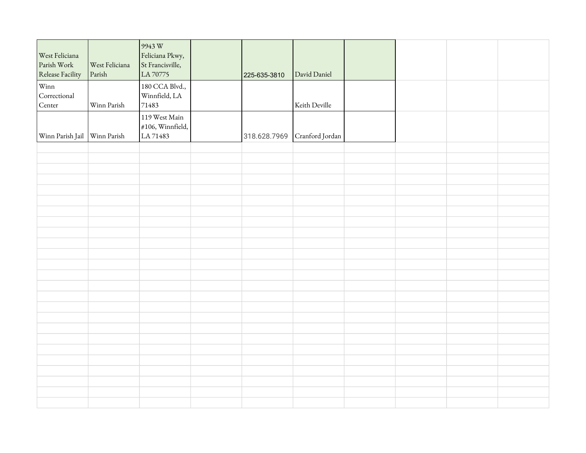| <b>West Feliciana</b><br>Parish Work<br>Release Facility | West Feliciana<br>Parish | $9943 \,\mathrm{W}$<br>Feliciana Pkwy,<br>St Francisville,<br>LA 70775 | 225-635-3810 | David Daniel    |  |  |
|----------------------------------------------------------|--------------------------|------------------------------------------------------------------------|--------------|-----------------|--|--|
| Winn<br>Correctional<br>Center                           | Winn Parish              | 180 CCA Blvd.,<br>Winnfield, LA<br>71483                               |              | Keith Deville   |  |  |
| Winn Parish Jail Winn Parish                             |                          | 119 West Main<br>$\#106$ , Winnfield,<br>LA 71483                      | 318.628.7969 | Cranford Jordan |  |  |
|                                                          |                          |                                                                        |              |                 |  |  |
|                                                          |                          |                                                                        |              |                 |  |  |
|                                                          |                          |                                                                        |              |                 |  |  |
|                                                          |                          |                                                                        |              |                 |  |  |
|                                                          |                          |                                                                        |              |                 |  |  |
|                                                          |                          |                                                                        |              |                 |  |  |
|                                                          |                          |                                                                        |              |                 |  |  |
|                                                          |                          |                                                                        |              |                 |  |  |
|                                                          |                          |                                                                        |              |                 |  |  |
|                                                          |                          |                                                                        |              |                 |  |  |
|                                                          |                          |                                                                        |              |                 |  |  |
|                                                          |                          |                                                                        |              |                 |  |  |
|                                                          |                          |                                                                        |              |                 |  |  |
|                                                          |                          |                                                                        |              |                 |  |  |
|                                                          |                          |                                                                        |              |                 |  |  |
|                                                          |                          |                                                                        |              |                 |  |  |
|                                                          |                          |                                                                        |              |                 |  |  |
|                                                          |                          |                                                                        |              |                 |  |  |
|                                                          |                          |                                                                        |              |                 |  |  |
|                                                          |                          |                                                                        |              |                 |  |  |
|                                                          |                          |                                                                        |              |                 |  |  |
|                                                          |                          |                                                                        |              |                 |  |  |
|                                                          |                          |                                                                        |              |                 |  |  |
|                                                          |                          |                                                                        |              |                 |  |  |
|                                                          |                          |                                                                        |              |                 |  |  |